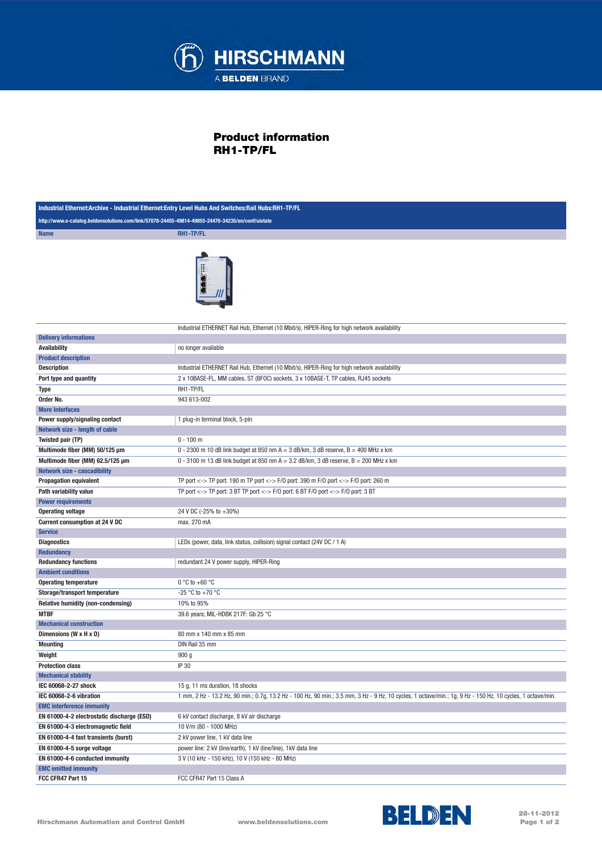

## Product information RH1-TP/FL

| Industrial Ethernet:Archive - Industrial Ethernet:Entry Level Hubs And Switches:Rail Hubs:RH1-TP/FL |                                                                                                                                                            |  |
|-----------------------------------------------------------------------------------------------------|------------------------------------------------------------------------------------------------------------------------------------------------------------|--|
| http://www.e-catalog.beldensolutions.com/link/57078-24455-49814-49855-24476-34235/en/conf/uistate   |                                                                                                                                                            |  |
| <b>Name</b>                                                                                         | RH1-TP/FL                                                                                                                                                  |  |
|                                                                                                     | Industrial ETHERNET Rail Hub, Ethernet (10 Mbit/s), HIPER-Ring for high network availability                                                               |  |
| <b>Delivery informations</b>                                                                        |                                                                                                                                                            |  |
| <b>Availability</b>                                                                                 | no longer available                                                                                                                                        |  |
| <b>Product description</b>                                                                          |                                                                                                                                                            |  |
| <b>Description</b>                                                                                  | Industrial ETHERNET Rail Hub, Ethernet (10 Mbit/s), HIPER-Ring for high network availability                                                               |  |
| Port type and quantity                                                                              | 2 x 10BASE-FL, MM cables, ST (BFOC) sockets, 3 x 10BASE-T, TP cables, RJ45 sockets                                                                         |  |
| Type                                                                                                | RH1-TP/FL                                                                                                                                                  |  |
| Order No.                                                                                           | 943 613-002                                                                                                                                                |  |
| <b>More Interfaces</b>                                                                              |                                                                                                                                                            |  |
| Power supply/signaling contact                                                                      | 1 plug-in terminal block, 5-pin                                                                                                                            |  |
| Network size - length of cable                                                                      |                                                                                                                                                            |  |
| Twisted pair (TP)                                                                                   | $0 - 100$ m                                                                                                                                                |  |
| Multimode fiber (MM) 50/125 µm                                                                      | 0 - 2300 m 10 dB link budget at 850 nm A = 3 dB/km, 3 dB reserve, B = 400 MHz x km                                                                         |  |
| Multimode fiber (MM) 62.5/125 µm                                                                    | 0 - 3100 m 13 dB link budget at 850 nm $A = 3.2$ dB/km, 3 dB reserve, $B = 200$ MHz x km                                                                   |  |
| <b>Network size - cascadibility</b>                                                                 |                                                                                                                                                            |  |
| <b>Propagation equivalent</b>                                                                       | TP port <-> TP port: 190 m TP port <-> F/0 port: 390 m F/0 port <-> F/0 port: 260 m                                                                        |  |
| Path variability value                                                                              | TP port <-> TP port: 3 BT TP port <-> F/0 port: 6 BT F/0 port <-> F/0 port: 3 BT                                                                           |  |
| <b>Power requirements</b>                                                                           |                                                                                                                                                            |  |
| <b>Operating voltage</b>                                                                            | 24 V DC (-25% to +30%)                                                                                                                                     |  |
| <b>Current consumption at 24 V DC</b>                                                               | max. 270 mA                                                                                                                                                |  |
| <b>Service</b>                                                                                      |                                                                                                                                                            |  |
| <b>Diagnostics</b>                                                                                  | LEDs (power, data, link status, collision) signal contact (24V DC / 1 A)                                                                                   |  |
| <b>Redundancy</b>                                                                                   |                                                                                                                                                            |  |
| <b>Redundancy functions</b>                                                                         | redundant 24 V power supply, HIPER-Ring                                                                                                                    |  |
| <b>Ambient conditions</b>                                                                           |                                                                                                                                                            |  |
| <b>Operating temperature</b>                                                                        | $0^{\circ}$ C to +60 $^{\circ}$ C                                                                                                                          |  |
| Storage/transport temperature                                                                       | -25 °C to +70 °C                                                                                                                                           |  |
| Relative humidity (non-condensing)                                                                  | 10% to 95%                                                                                                                                                 |  |
| <b>MTBF</b>                                                                                         | 39.6 years; MIL-HDBK 217F: Gb 25 °C                                                                                                                        |  |
| <b>Mechanical construction</b>                                                                      |                                                                                                                                                            |  |
| Dimensions (W x H x D)                                                                              | 80 mm x 140 mm x 85 mm                                                                                                                                     |  |
| <b>Mounting</b>                                                                                     | DIN Rail 35 mm                                                                                                                                             |  |
| Weight                                                                                              | 900 <sub>g</sub>                                                                                                                                           |  |
| <b>Protection class</b>                                                                             | IP 30                                                                                                                                                      |  |
| <b>Mechanical stability</b>                                                                         |                                                                                                                                                            |  |
| IEC 60068-2-27 shock                                                                                | 15 g, 11 ms duration, 18 shocks                                                                                                                            |  |
| IEC 60068-2-6 vibration                                                                             | 1 mm, 2 Hz - 13.2 Hz, 90 min.; 0.7g, 13.2 Hz - 100 Hz, 90 min.; 3.5 mm, 3 Hz - 9 Hz, 10 cycles, 1 octave/min.; 1g, 9 Hz - 150 Hz, 10 cycles, 1 octave/min. |  |
| <b>EMC</b> interference immunity                                                                    |                                                                                                                                                            |  |
| EN 61000-4-2 electrostatic discharge (ESD)                                                          | 6 kV contact discharge, 8 kV air discharge                                                                                                                 |  |
| EN 61000-4-3 electromagnetic field                                                                  | 10 V/m (80 - 1000 MHz)                                                                                                                                     |  |
| EN 61000-4-4 fast transients (burst)                                                                | 2 kV power line, 1 kV data line                                                                                                                            |  |
| EN 61000-4-5 surge voltage                                                                          |                                                                                                                                                            |  |
|                                                                                                     | power line: 2 kV (line/earth), 1 kV (line/line), 1 kV data line                                                                                            |  |
| EN 61000-4-6 conducted immunity<br><b>EMC emitted immunity</b>                                      | 3 V (10 kHz - 150 kHz), 10 V (150 kHz - 80 MHz)                                                                                                            |  |
| FCC CFR47 Part 15                                                                                   | FCC CFR47 Part 15 Class A                                                                                                                                  |  |
|                                                                                                     |                                                                                                                                                            |  |